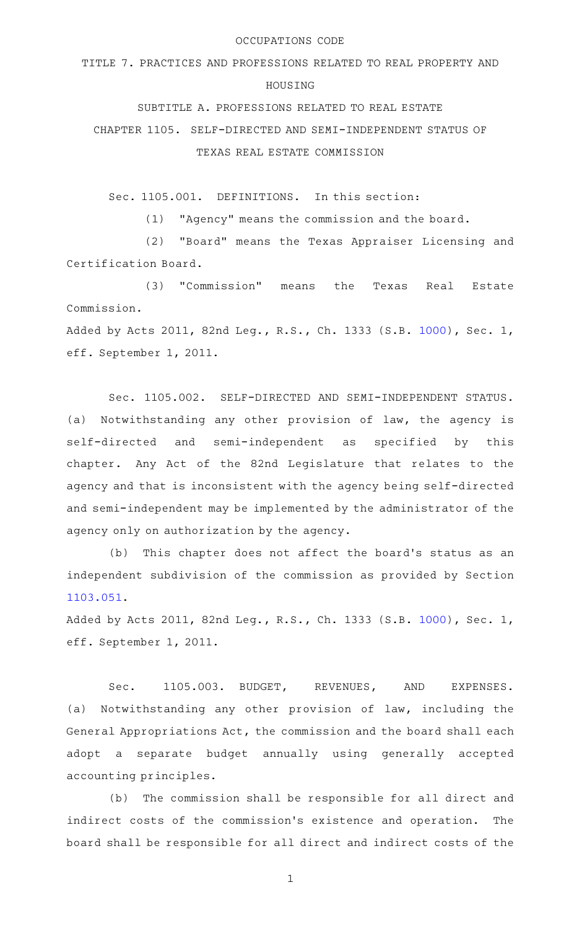## OCCUPATIONS CODE

TITLE 7. PRACTICES AND PROFESSIONS RELATED TO REAL PROPERTY AND

## HOUSING

SUBTITLE A. PROFESSIONS RELATED TO REAL ESTATE

CHAPTER 1105. SELF-DIRECTED AND SEMI-INDEPENDENT STATUS OF TEXAS REAL ESTATE COMMISSION

Sec. 1105.001. DEFINITIONS. In this section:

(1) "Agency" means the commission and the board.

(2) "Board" means the Texas Appraiser Licensing and Certification Board.

(3) "Commission" means the Texas Real Estate Commission.

Added by Acts 2011, 82nd Leg., R.S., Ch. 1333 (S.B. [1000\)](http://www.legis.state.tx.us/tlodocs/82R/billtext/html/SB01000F.HTM), Sec. 1, eff. September 1, 2011.

Sec. 1105.002. SELF-DIRECTED AND SEMI-INDEPENDENT STATUS. (a) Notwithstanding any other provision of law, the agency is self-directed and semi-independent as specified by this chapter. Any Act of the 82nd Legislature that relates to the agency and that is inconsistent with the agency being self-directed and semi-independent may be implemented by the administrator of the agency only on authorization by the agency.

(b) This chapter does not affect the board's status as an independent subdivision of the commission as provided by Section [1103.051](http://www.statutes.legis.state.tx.us/GetStatute.aspx?Code=OC&Value=1103.051).

Added by Acts 2011, 82nd Leg., R.S., Ch. 1333 (S.B. [1000\)](http://www.legis.state.tx.us/tlodocs/82R/billtext/html/SB01000F.HTM), Sec. 1, eff. September 1, 2011.

Sec. 1105.003. BUDGET, REVENUES, AND EXPENSES. (a) Notwithstanding any other provision of law, including the General Appropriations Act, the commission and the board shall each adopt a separate budget annually using generally accepted accounting principles.

(b) The commission shall be responsible for all direct and indirect costs of the commission's existence and operation. The board shall be responsible for all direct and indirect costs of the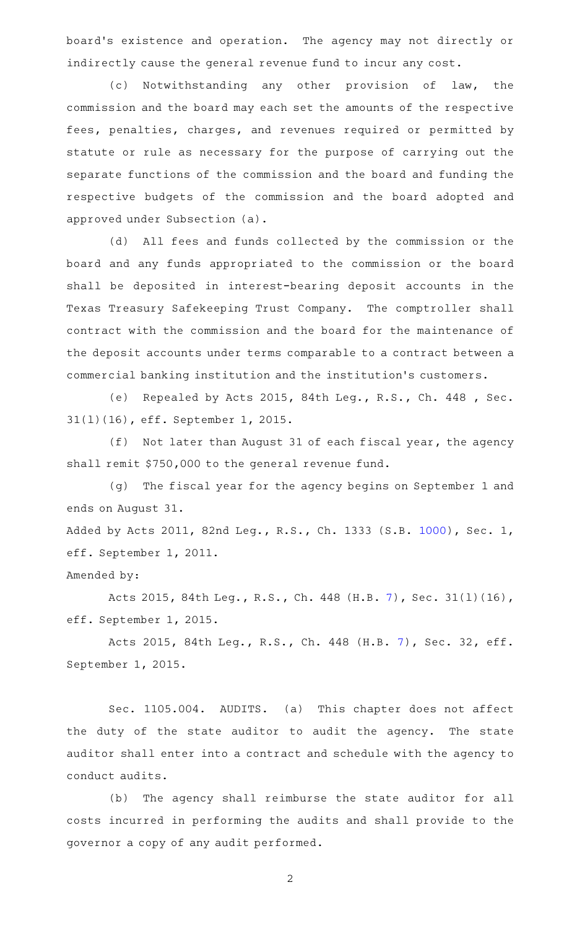board's existence and operation. The agency may not directly or indirectly cause the general revenue fund to incur any cost.

(c) Notwithstanding any other provision of law, the commission and the board may each set the amounts of the respective fees, penalties, charges, and revenues required or permitted by statute or rule as necessary for the purpose of carrying out the separate functions of the commission and the board and funding the respective budgets of the commission and the board adopted and approved under Subsection (a).

(d) All fees and funds collected by the commission or the board and any funds appropriated to the commission or the board shall be deposited in interest-bearing deposit accounts in the Texas Treasury Safekeeping Trust Company. The comptroller shall contract with the commission and the board for the maintenance of the deposit accounts under terms comparable to a contract between a commercial banking institution and the institution 's customers.

(e) Repealed by Acts 2015, 84th Leg., R.S., Ch. 448 , Sec. 31(l)(16), eff. September 1, 2015.

(f) Not later than August 31 of each fiscal year, the agency shall remit \$750,000 to the general revenue fund.

(g) The fiscal year for the agency begins on September 1 and ends on August 31.

Added by Acts 2011, 82nd Leg., R.S., Ch. 1333 (S.B. [1000\)](http://www.legis.state.tx.us/tlodocs/82R/billtext/html/SB01000F.HTM), Sec. 1, eff. September 1, 2011.

Amended by:

Acts 2015, 84th Leg., R.S., Ch. 448 (H.B. [7](http://www.legis.state.tx.us/tlodocs/84R/billtext/html/HB00007F.HTM)), Sec. 31(l)(16), eff. September 1, 2015.

Acts 2015, 84th Leg., R.S., Ch. 448 (H.B. [7\)](http://www.legis.state.tx.us/tlodocs/84R/billtext/html/HB00007F.HTM), Sec. 32, eff. September 1, 2015.

Sec. 1105.004. AUDITS. (a) This chapter does not affect the duty of the state auditor to audit the agency. The state auditor shall enter into a contract and schedule with the agency to conduct audits.

(b) The agency shall reimburse the state auditor for all costs incurred in performing the audits and shall provide to the governor a copy of any audit performed.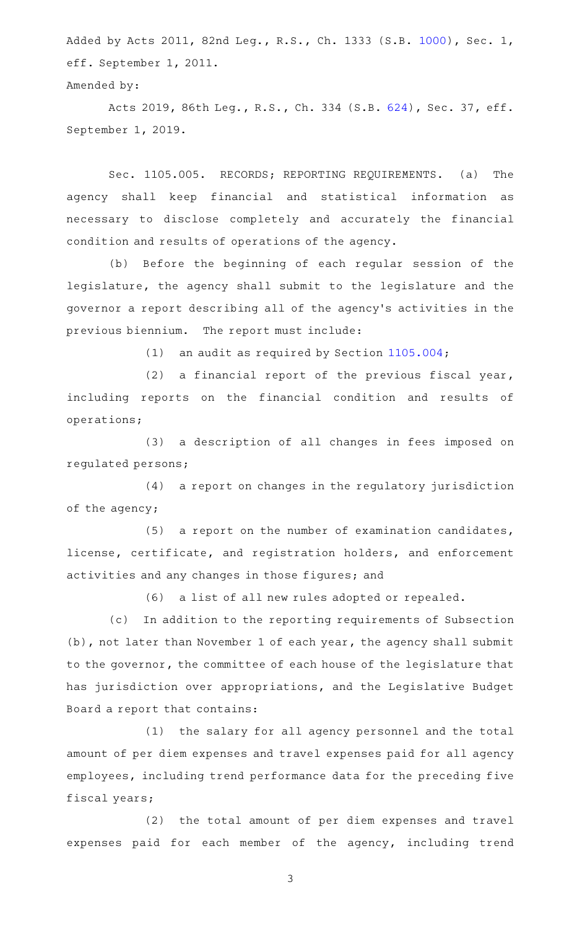Added by Acts 2011, 82nd Leg., R.S., Ch. 1333 (S.B. [1000\)](http://www.legis.state.tx.us/tlodocs/82R/billtext/html/SB01000F.HTM), Sec. 1, eff. September 1, 2011.

Amended by:

Acts 2019, 86th Leg., R.S., Ch. 334 (S.B. [624\)](http://www.legis.state.tx.us/tlodocs/86R/billtext/html/SB00624F.HTM), Sec. 37, eff. September 1, 2019.

Sec. 1105.005. RECORDS; REPORTING REQUIREMENTS. (a) The agency shall keep financial and statistical information as necessary to disclose completely and accurately the financial condition and results of operations of the agency.

(b) Before the beginning of each regular session of the legislature, the agency shall submit to the legislature and the governor a report describing all of the agency 's activities in the previous biennium. The report must include:

(1) an audit as required by Section  $1105.004$ ;

(2) a financial report of the previous fiscal year, including reports on the financial condition and results of operations;

(3) a description of all changes in fees imposed on regulated persons;

(4) a report on changes in the regulatory jurisdiction of the agency;

 $(5)$  a report on the number of examination candidates, license, certificate, and registration holders, and enforcement activities and any changes in those figures; and

(6) a list of all new rules adopted or repealed.

(c) In addition to the reporting requirements of Subsection (b), not later than November 1 of each year, the agency shall submit to the governor, the committee of each house of the legislature that has jurisdiction over appropriations, and the Legislative Budget Board a report that contains:

(1) the salary for all agency personnel and the total amount of per diem expenses and travel expenses paid for all agency employees, including trend performance data for the preceding five fiscal years;

(2) the total amount of per diem expenses and travel expenses paid for each member of the agency, including trend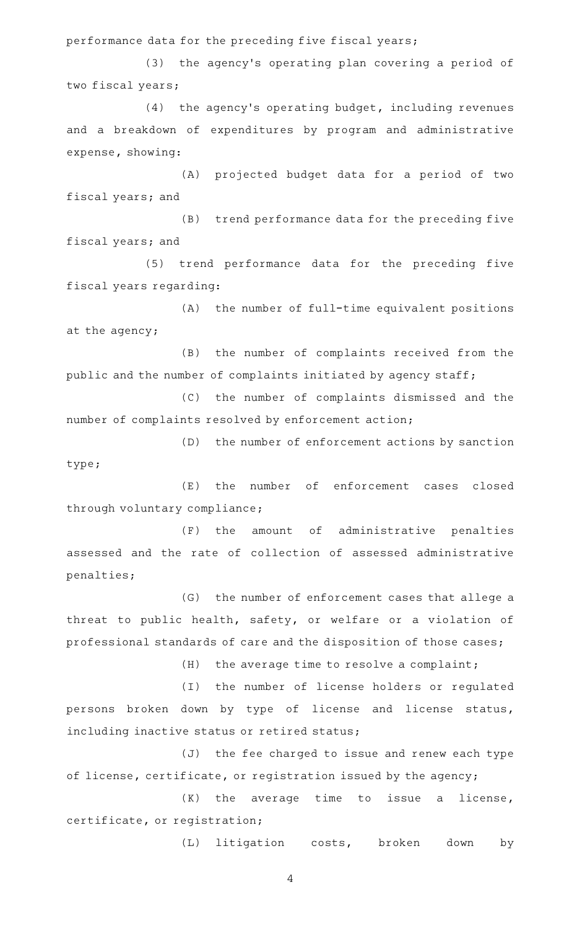performance data for the preceding five fiscal years;

(3) the agency's operating plan covering a period of two fiscal years;

 $(4)$  the agency's operating budget, including revenues and a breakdown of expenditures by program and administrative expense, showing:

(A) projected budget data for a period of two fiscal years; and

(B) trend performance data for the preceding five fiscal years; and

(5) trend performance data for the preceding five fiscal years regarding:

(A) the number of full-time equivalent positions at the agency;

(B) the number of complaints received from the public and the number of complaints initiated by agency staff;

(C) the number of complaints dismissed and the number of complaints resolved by enforcement action;

(D) the number of enforcement actions by sanction type;

(E) the number of enforcement cases closed through voluntary compliance;

(F) the amount of administrative penalties assessed and the rate of collection of assessed administrative penalties;

(G) the number of enforcement cases that allege a threat to public health, safety, or welfare or a violation of professional standards of care and the disposition of those cases;

 $(H)$  the average time to resolve a complaint;

(I) the number of license holders or regulated persons broken down by type of license and license status, including inactive status or retired status;

(J) the fee charged to issue and renew each type of license, certificate, or registration issued by the agency;

 $(K)$  the average time to issue a license, certificate, or registration;

(L) litigation costs, broken down by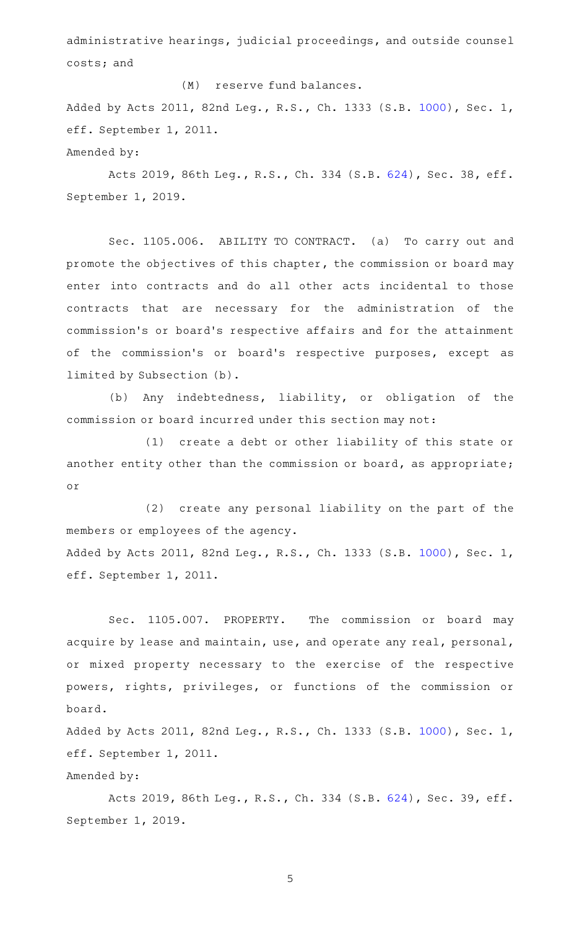administrative hearings, judicial proceedings, and outside counsel costs; and

(M) reserve fund balances. Added by Acts 2011, 82nd Leg., R.S., Ch. 1333 (S.B. [1000\)](http://www.legis.state.tx.us/tlodocs/82R/billtext/html/SB01000F.HTM), Sec. 1, eff. September 1, 2011. Amended by:

Acts 2019, 86th Leg., R.S., Ch. 334 (S.B. [624\)](http://www.legis.state.tx.us/tlodocs/86R/billtext/html/SB00624F.HTM), Sec. 38, eff. September 1, 2019.

Sec. 1105.006. ABILITY TO CONTRACT. (a) To carry out and promote the objectives of this chapter, the commission or board may enter into contracts and do all other acts incidental to those contracts that are necessary for the administration of the commission 's or board 's respective affairs and for the attainment of the commission's or board's respective purposes, except as limited by Subsection (b).

(b) Any indebtedness, liability, or obligation of the commission or board incurred under this section may not:

(1) create a debt or other liability of this state or another entity other than the commission or board, as appropriate; or

(2) create any personal liability on the part of the members or employees of the agency. Added by Acts 2011, 82nd Leg., R.S., Ch. 1333 (S.B. [1000\)](http://www.legis.state.tx.us/tlodocs/82R/billtext/html/SB01000F.HTM), Sec. 1, eff. September 1, 2011.

Sec. 1105.007. PROPERTY. The commission or board may acquire by lease and maintain, use, and operate any real, personal, or mixed property necessary to the exercise of the respective powers, rights, privileges, or functions of the commission or board.

Added by Acts 2011, 82nd Leg., R.S., Ch. 1333 (S.B. [1000\)](http://www.legis.state.tx.us/tlodocs/82R/billtext/html/SB01000F.HTM), Sec. 1, eff. September 1, 2011.

Amended by:

Acts 2019, 86th Leg., R.S., Ch. 334 (S.B. [624\)](http://www.legis.state.tx.us/tlodocs/86R/billtext/html/SB00624F.HTM), Sec. 39, eff. September 1, 2019.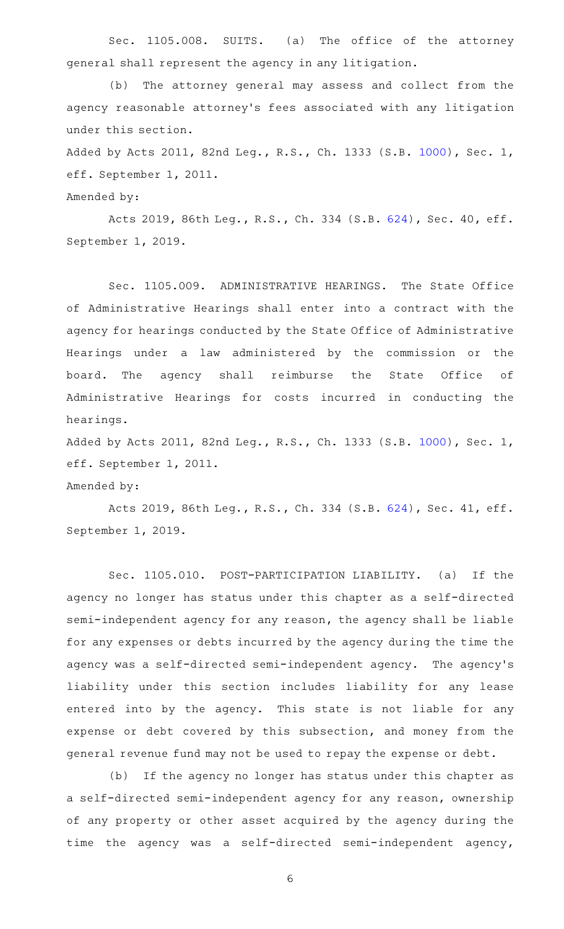Sec. 1105.008. SUITS. (a) The office of the attorney general shall represent the agency in any litigation.

(b) The attorney general may assess and collect from the agency reasonable attorney 's fees associated with any litigation under this section.

Added by Acts 2011, 82nd Leg., R.S., Ch. 1333 (S.B. [1000\)](http://www.legis.state.tx.us/tlodocs/82R/billtext/html/SB01000F.HTM), Sec. 1, eff. September 1, 2011.

Amended by:

Acts 2019, 86th Leg., R.S., Ch. 334 (S.B. [624\)](http://www.legis.state.tx.us/tlodocs/86R/billtext/html/SB00624F.HTM), Sec. 40, eff. September 1, 2019.

Sec. 1105.009. ADMINISTRATIVE HEARINGS. The State Office of Administrative Hearings shall enter into a contract with the agency for hearings conducted by the State Office of Administrative Hearings under a law administered by the commission or the board. The agency shall reimburse the State Office of Administrative Hearings for costs incurred in conducting the hearings.

Added by Acts 2011, 82nd Leg., R.S., Ch. 1333 (S.B. [1000\)](http://www.legis.state.tx.us/tlodocs/82R/billtext/html/SB01000F.HTM), Sec. 1, eff. September 1, 2011.

## Amended by:

Acts 2019, 86th Leg., R.S., Ch. 334 (S.B. [624\)](http://www.legis.state.tx.us/tlodocs/86R/billtext/html/SB00624F.HTM), Sec. 41, eff. September 1, 2019.

Sec. 1105.010. POST-PARTICIPATION LIABILITY. (a) If the agency no longer has status under this chapter as a self-directed semi-independent agency for any reason, the agency shall be liable for any expenses or debts incurred by the agency during the time the agency was a self-directed semi-independent agency. The agency's liability under this section includes liability for any lease entered into by the agency. This state is not liable for any expense or debt covered by this subsection, and money from the general revenue fund may not be used to repay the expense or debt.

(b) If the agency no longer has status under this chapter as a self-directed semi-independent agency for any reason, ownership of any property or other asset acquired by the agency during the time the agency was a self-directed semi-independent agency,